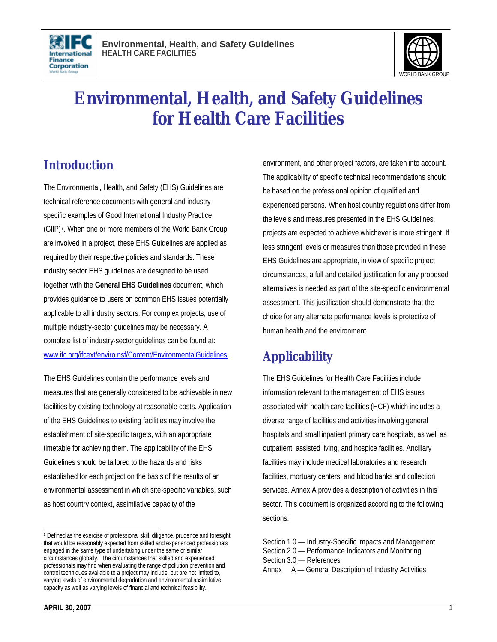



# **Environmental, Health, and Safety Guidelines for Health Care Facilities**

## **Introduction**

The Environmental, Health, and Safety (EHS) Guidelines are technical reference documents with general and industryspecific examples of Good International Industry Practice (GIIP) <sup>1</sup> . When one or more members of the World Bank Group are involved in a project, these EHS Guidelines are applied as required by their respective policies and standards. These industry sector EHS guidelines are designed to be used together with the **General EHS Guidelines** document, which provides guidance to users on common EHS issues potentially applicable to all industry sectors. For complex projects, use of multiple industry-sector guidelines may be necessary. A complete list of industry-sector guidelines can be found at: www.ifc.org/ifcext/enviro.nsf/Content/EnvironmentalGuidelines

The EHS Guidelines contain the performance levels and measures that are generally considered to be achievable in new facilities by existing technology at reasonable costs. Application of the EHS Guidelines to existing facilities may involve the establishment of site-specific targets, with an appropriate timetable for achieving them. The applicability of the EHS Guidelines should be tailored to the hazards and risks established for each project on the basis of the results of an environmental assessment in which site-specific variables, such as host country context, assimilative capacity of the

environment, and other project factors, are taken into account. The applicability of specific technical recommendations should be based on the professional opinion of qualified and experienced persons. When host country regulations differ from the levels and measures presented in the EHS Guidelines, projects are expected to achieve whichever is more stringent. If less stringent levels or measures than those provided in these EHS Guidelines are appropriate, in view of specific project circumstances, a full and detailed justification for any proposed alternatives is needed as part of the site-specific environmental assessment. This justification should demonstrate that the choice for any alternate performance levels is protective of human health and the environment

## **Applicability**

The EHS Guidelines for Health Care Facilities include information relevant to the management of EHS issues associated with health care facilities (HCF) which includes a diverse range of facilities and activities involving general hospitals and small inpatient primary care hospitals, as well as outpatient, assisted living, and hospice facilities. Ancillary facilities may include medical laboratories and research facilities, mortuary centers, and blood banks and collection services. Annex A provides a description of activities in this sector. This document is organized according to the following sections:

 $\overline{a}$ <sup>1</sup> Defined as the exercise of professional skill, diligence, prudence and foresight that would be reasonably expected from skilled and experienced professionals engaged in the same type of undertaking under the same or similar circumstances globally. The circumstances that skilled and experienced professionals may find when evaluating the range of pollution prevention and control techniques available to a project may include, but are not limited to, varying levels of environmental degradation and environmental assimilative capacity as well as varying levels of financial and technical feasibility.

Section 1.0 — Industry-Specific Impacts and Management

Section 2.0 — Performance Indicators and Monitoring

Section 3.0 — References

Annex A — General Description of Industry Activities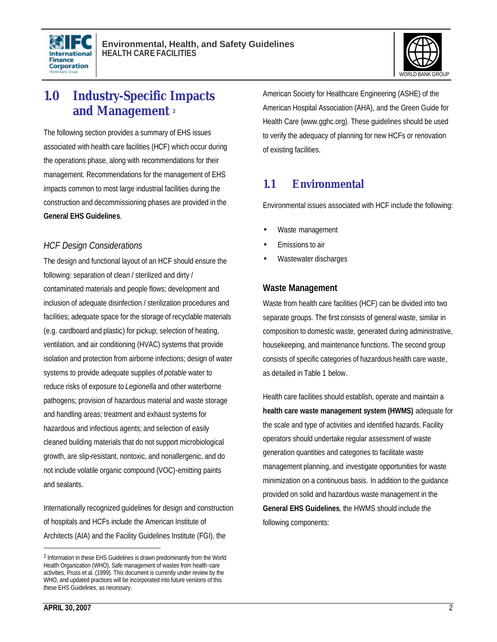



## **1.0 Industry-Specific Impacts and Management <sup>2</sup>**

The following section provides a summary of EHS issues associated with health care facilities (HCF) which occur during the operations phase, along with recommendations for their management. Recommendations for the management of EHS impacts common to most large industrial facilities during the construction and decommissioning phases are provided in the **General EHS Guidelines**.

#### *HCF Design Considerations*

The design and functional layout of an HCF should ensure the following: separation of clean / sterilized and dirty / contaminated materials and people flows; development and inclusion of adequate disinfection / sterilization procedures and facilities; adequate space for the storage of recyclable materials (e.g. cardboard and plastic) for pickup; selection of heating, ventilation, and air conditioning (HVAC) systems that provide isolation and protection from airborne infections; design of water systems to provide adequate supplies of *potable* water to reduce risks of exposure to *Legionella* and other waterborne pathogens; provision of hazardous material and waste storage and handling areas; treatment and exhaust systems for hazardous and infectious agents; and selection of easily cleaned building materials that do not support microbiological growth, are slip-resistant, nontoxic, and nonallergenic, and do not include volatile organic compound (VOC)-emitting paints and sealants.

Internationally recognized guidelines for design and construction of hospitals and HCFs include the American Institute of Architects (AIA) and the Facility Guidelines Institute (FGI), the

American Society for Healthcare Engineering (ASHE) of the American Hospital Association (AHA), and the Green Guide for Health Care (www.gghc.org). These guidelines should be used to verify the adequacy of planning for new HCFs or renovation of existing facilities.

## **1.1 Environmental**

Environmental issues associated with HCF include the following:

- Waste management
- Emissions to air
- Wastewater discharges

#### **Waste Management**

Waste from health care facilities (HCF) can be divided into two separate groups. The first consists of general waste, similar in composition to domestic waste, generated during administrative, housekeeping, and maintenance functions. The second group consists of specific categories of hazardous health care waste, as detailed in Table 1 below.

Health care facilities should establish, operate and maintain a **health care waste management system (HWMS)** adequate for the scale and type of activities and identified hazards. Facility operators should undertake regular assessment of waste generation quantities and categories to facilitate waste management planning, and investigate opportunities for waste minimization on a continuous basis. In addition to the guidance provided on solid and hazardous waste management in the **General EHS Guidelines**, the HWMS should include the following components:

<sup>2</sup> Information in these EHS Guidelines is drawn predominantly from the World Health Organization (WHO), Safe management of wastes from health-care activities, Pruss et al. (1999). This document is currently under review by the WHO, and updated practices will be incorporated into future versions of this these EHS Guidelines, as necessary.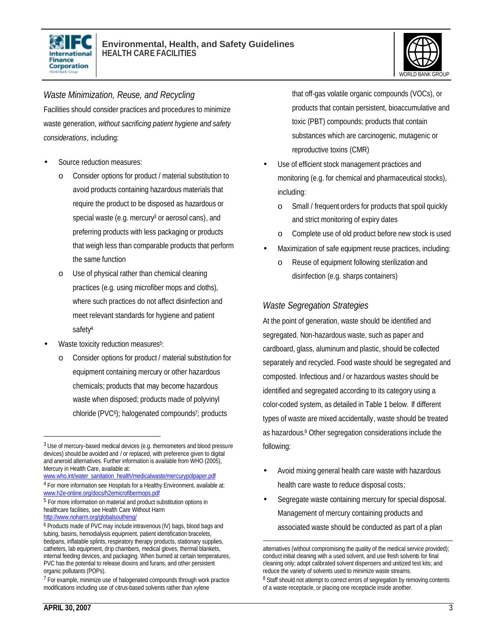



#### *Waste Minimization, Reuse, and Recycling*

Facilities should consider practices and procedures to minimize waste generation, *without sacrificing patient hygiene and safety considerations*, including:

- Source reduction measures:
	- o Consider options for product / material substitution to avoid products containing hazardous materials that require the product to be disposed as hazardous or special waste (e.g. mercury<sup>3</sup> or aerosol cans), and preferring products with less packaging or products that weigh less than comparable products that perform the same function
	- Use of physical rather than chemical cleaning practices (e.g. using microfiber mops and cloths), where such practices do not affect disinfection and meet relevant standards for hygiene and patient safety<sup>4</sup>
- Waste toxicity reduction measures<sup>5</sup>:
	- o Consider options for product / material substitution for equipment containing mercury or other hazardous chemicals; products that may become hazardous waste when disposed; products made of polyvinyl chloride (PVC<sup>6</sup>); halogenated compounds<sup>7</sup>; products

www.who.int/water\_sanitation\_health/medicalwaste/mercurypolpaper.pdf <sup>4</sup> For more information see Hospitals for a Healthy Environment, available at: that off-gas volatile organic compounds (VOCs), or products that contain persistent, bioaccumulative and toxic (PBT) compounds; products that contain substances which are carcinogenic, mutagenic or reproductive toxins (CMR)

- Use of efficient stock management practices and monitoring (e.g. for chemical and pharmaceutical stocks), including:
	- o Small / frequent orders for products that spoil quickly and strict monitoring of expiry dates
	- o Complete use of old product before new stock is used
- Maximization of safe equipment reuse practices, including:
	- o Reuse of equipment following sterilization and disinfection (e.g. sharps containers)

#### *Waste Segregation Strategies*

At the point of generation, waste should be identified and segregated. Non-hazardous waste, such as paper and cardboard, glass, aluminum and plastic, should be collected separately and recycled. Food waste should be segregated and composted. Infectious and / or hazardous wastes should be identified and segregated according to its category using a color-coded system, as detailed in Table 1 below. If different types of waste are mixed accidentally, waste should be treated as hazardous. <sup>8</sup> Other segregation considerations include the following:

- Avoid mixing general health care waste with hazardous health care waste to reduce disposal costs;
- Segregate waste containing mercury for special disposal. Management of mercury containing products and associated waste should be conducted as part of a plan

l

<sup>&</sup>lt;sup>3</sup> Use of mercury-based medical devices (e.g. thermometers and blood pressure devices) should be avoided and / or replaced, with preference given to digital and aneroid alternatives. Further information is available from WHO (2005), Mercury in Health Care, available at:

www.h2e-online.org/docs/h2emicrofibermops.pdf 5 For more information on material and product substitution options in

healthcare facilities, see Health Care Without Harm http://www.noharm.org/globalsoutheng/

<sup>&</sup>lt;sup>6</sup> Products made of PVC may include intravenous (IV) bags, blood bags and tubing, basins, hemodialysis equipment, patient identification bracelets, bedpans, inflatable splints, respiratory therapy products, stationary supplies, catheters, lab equipment, drip chambers, medical gloves, thermal blankets, internal feeding devices, and packaging. When burned at certain temperatures, PVC has the potential to release dioxins and furans, and other persistent organic pollutants (POPs).

 $7$  For example, minimize use of halogenated compounds through work practice modifications including use of citrus-based solvents rather than xylene

<sup>&</sup>lt;u>.</u> alternatives (without compromising the quality of the medical service provided); conduct initial cleaning with a used solvent, and use fresh solvents for final cleaning only; adopt calibrated solvent dispensers and unitized test kits; and reduce the variety of solvents used to minimize waste streams. <sup>8</sup> Staff should not attempt to correct errors of segregation by removing contents of a waste receptacle, or placing one receptacle inside another.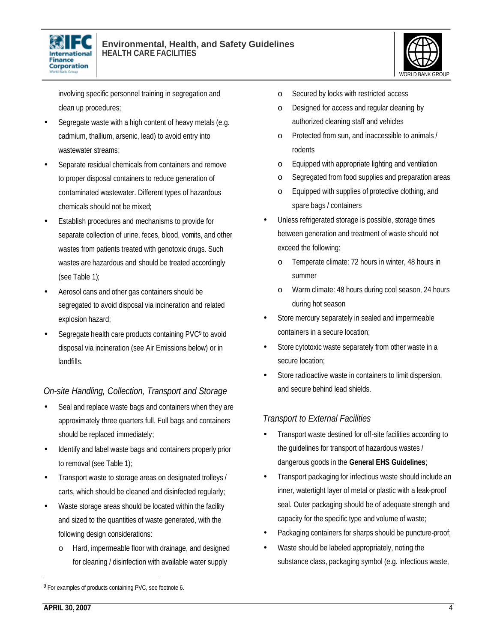



involving specific personnel training in segregation and clean up procedures;

- Segregate waste with a high content of heavy metals (e.g. cadmium, thallium, arsenic, lead) to avoid entry into wastewater streams;
- Separate residual chemicals from containers and remove to proper disposal containers to reduce generation of contaminated wastewater. Different types of hazardous chemicals should not be mixed;
- Establish procedures and mechanisms to provide for separate collection of urine, feces, blood, vomits, and other wastes from patients treated with genotoxic drugs. Such wastes are hazardous and should be treated accordingly (see Table 1);
- Aerosol cans and other gas containers should be segregated to avoid disposal via incineration and related explosion hazard;
- Segregate health care products containing PVC<sup>9</sup> to avoid disposal via incineration (see Air Emissions below) or in landfills.

### *On-site Handling, Collection, Transport and Storage*

- Seal and replace waste bags and containers when they are approximately three quarters full. Full bags and containers should be replaced immediately;
- Identify and label waste bags and containers properly prior to removal (see Table 1);
- Transport waste to storage areas on designated trolleys / carts, which should be cleaned and disinfected regularly;
- Waste storage areas should be located within the facility and sized to the quantities of waste generated, with the following design considerations:
	- o Hard, impermeable floor with drainage, and designed for cleaning / disinfection with available water supply
- o Secured by locks with restricted access
- o Designed for access and regular cleaning by authorized cleaning staff and vehicles
- o Protected from sun, and inaccessible to animals / rodents
- o Equipped with appropriate lighting and ventilation
- o Segregated from food supplies and preparation areas
- o Equipped with supplies of protective clothing, and spare bags / containers
- Unless refrigerated storage is possible, storage times between generation and treatment of waste should not exceed the following:
	- o Temperate climate: 72 hours in winter, 48 hours in summer
	- o Warm climate: 48 hours during cool season, 24 hours during hot season
- Store mercury separately in sealed and impermeable containers in a secure location;
- Store cytotoxic waste separately from other waste in a secure location;
- Store radioactive waste in containers to limit dispersion, and secure behind lead shields.

#### *Transport to External Facilities*

- Transport waste destined for off-site facilities according to the guidelines for transport of hazardous wastes / dangerous goods in the **General EHS Guidelines**;
- Transport packaging for infectious waste should include an inner, watertight layer of metal or plastic with a leak-proof seal. Outer packaging should be of adequate strength and capacity for the specific type and volume of waste;
- Packaging containers for sharps should be puncture-proof;
- Waste should be labeled appropriately, noting the substance class, packaging symbol (e.g. infectious waste,

<sup>&</sup>lt;sup>9</sup> For examples of products containing PVC, see footnote 6.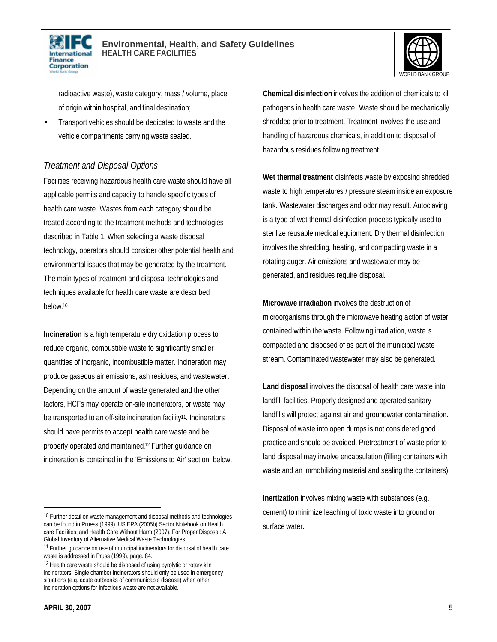



radioactive waste), waste category, mass / volume, place of origin within hospital, and final destination;

• Transport vehicles should be dedicated to waste and the vehicle compartments carrying waste sealed.

#### *Treatment and Disposal Options*

Facilities receiving hazardous health care waste should have all applicable permits and capacity to handle specific types of health care waste. Wastes from each category should be treated according to the treatment methods and technologies described in Table 1. When selecting a waste disposal technology, operators should consider other potential health and environmental issues that may be generated by the treatment. The main types of treatment and disposal technologies and techniques available for health care waste are described below. 10

**Incineration** is a high temperature dry oxidation process to reduce organic, combustible waste to significantly smaller quantities of inorganic, incombustible matter. Incineration may produce gaseous air emissions, ash residues, and wastewater. Depending on the amount of waste generated and the other factors, HCFs may operate on-site incinerators, or waste may be transported to an off-site incineration facility<sup>11</sup>. Incinerators should have permits to accept health care waste and be properly operated and maintained. <sup>12</sup> Further guidance on incineration is contained in the 'Emissions to Air' section, below. **Chemical disinfection** involves the addition of chemicals to kill pathogens in health care waste. Waste should be mechanically shredded prior to treatment. Treatment involves the use and handling of hazardous chemicals, in addition to disposal of hazardous residues following treatment.

**Wet thermal treatment** disinfects waste by exposing shredded waste to high temperatures / pressure steam inside an exposure tank. Wastewater discharges and odor may result. Autoclaving is a type of wet thermal disinfection process typically used to sterilize reusable medical equipment. Dry thermal disinfection involves the shredding, heating, and compacting waste in a rotating auger. Air emissions and wastewater may be generated, and residues require disposal.

**Microwave irradiation** involves the destruction of microorganisms through the microwave heating action of water contained within the waste. Following irradiation, waste is compacted and disposed of as part of the municipal waste stream. Contaminated wastewater may also be generated.

**Land disposal** involves the disposal of health care waste into landfill facilities. Properly designed and operated sanitary landfills will protect against air and groundwater contamination. Disposal of waste into open dumps is not considered good practice and should be avoided. Pretreatment of waste prior to land disposal may involve encapsulation (filling containers with waste and an immobilizing material and sealing the containers).

**Inertization** involves mixing waste with substances (e.g. cement) to minimize leaching of toxic waste into ground or surface water.

<sup>&</sup>lt;sup>10</sup> Further detail on waste management and disposal methods and technologies can be found in Pruess (1999), US EPA (2005b) Sector Notebook on Health care Facilities; and Health Care Without Harm (2007), For Proper Disposal: A Global Inventory of Alternative Medical Waste Technologies.

<sup>&</sup>lt;sup>11</sup> Further guidance on use of municipal incinerators for disposal of health care waste is addressed in Pruss (1999), page. 84.

<sup>12</sup> Health care waste should be disposed of using pyrolytic or rotary kiln incinerators. Single chamber incinerators should only be used in emergency situations (e.g. acute outbreaks of communicable disease) when other incineration options for infectious waste are not available.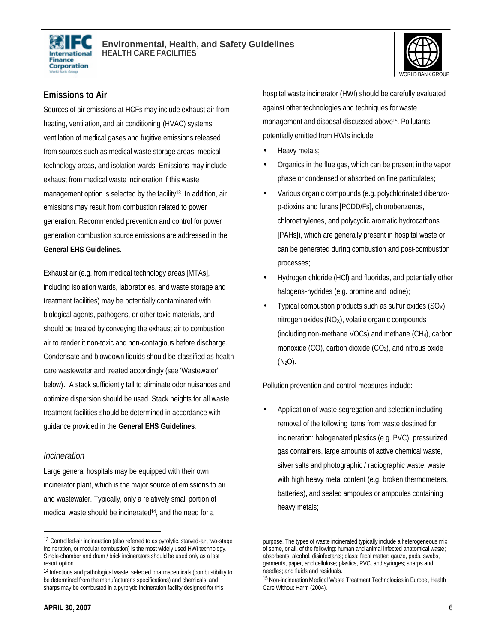



#### **Emissions to Air**

Sources of air emissions at HCFs may include exhaust air from heating, ventilation, and air conditioning (HVAC) systems, ventilation of medical gases and fugitive emissions released from sources such as medical waste storage areas, medical technology areas, and isolation wards. Emissions may include exhaust from medical waste incineration if this waste management option is selected by the facility<sup>13</sup>. In addition, air emissions may result from combustion related to power generation. Recommended prevention and control for power generation combustion source emissions are addressed in the **General EHS Guidelines.**

Exhaust air (e.g. from medical technology areas [MTAs], including isolation wards, laboratories, and waste storage and treatment facilities) may be potentially contaminated with biological agents, pathogens, or other toxic materials, and should be treated by conveying the exhaust air to combustion air to render it non-toxic and non-contagious before discharge. Condensate and blowdown liquids should be classified as health care wastewater and treated accordingly (see 'Wastewater' below). A stack sufficiently tall to eliminate odor nuisances and optimize dispersion should be used. Stack heights for all waste treatment facilities should be determined in accordance with guidance provided in the **General EHS Guidelines**.

#### *Incineration*

 $\overline{a}$ 

Large general hospitals may be equipped with their own incinerator plant, which is the major source of emissions to air and wastewater. Typically, only a relatively small portion of medical waste should be incinerated<sup>14</sup>, and the need for a

hospital waste incinerator (HWI) should be carefully evaluated against other technologies and techniques for waste management and disposal discussed above<sup>15</sup>. Pollutants potentially emitted from HWIs include:

- Heavy metals;
- Organics in the flue gas, which can be present in the vapor phase or condensed or absorbed on fine particulates;
- Various organic compounds (e.g. polychlorinated dibenzop-dioxins and furans [PCDD/Fs], chlorobenzenes, chloroethylenes, and polycyclic aromatic hydrocarbons [PAHs]), which are generally present in hospital waste or can be generated during combustion and post-combustion processes;
- Hydrogen chloride (HCl) and fluorides, and potentially other halogens-hydrides (e.g. bromine and iodine);
- Typical combustion products such as sulfur oxides  $(SO_X)$ , nitrogen oxides (NOX), volatile organic compounds (including non-methane VOCs) and methane (CH4), carbon monoxide  $(CO)$ , carbon dioxide  $(CO_2)$ , and nitrous oxide  $(N<sub>2</sub>O)$ .

Pollution prevention and control measures include:

• Application of waste segregation and selection including removal of the following items from waste destined for incineration: halogenated plastics (e.g. PVC), pressurized gas containers, large amounts of active chemical waste, silver salts and photographic / radiographic waste, waste with high heavy metal content (e.g. broken thermometers, batteries), and sealed ampoules or ampoules containing heavy metals;

<sup>13</sup> Controlled-air incineration (also referred to as pyrolytic, starved-air, two-stage incineration, or modular combustion) is the most widely used HWI technology. Single-chamber and drum / brick incinerators should be used only as a last resort option.

<sup>14</sup> Infectious and pathological waste, selected pharmaceuticals (combustibility to be determined from the manufacturer's specifications) and chemicals, and sharps may be combusted in a pyrolytic incineration facility designed for this

 $\overline{a}$ purpose. The types of waste incinerated typically include a heterogeneous mix of some, or all, of the following: human and animal infected anatomical waste; absorbents; alcohol, disinfectants; glass; fecal matter; gauze, pads, swabs, garments, paper, and cellulose; plastics, PVC, and syringes; sharps and needles; and fluids and residuals.

<sup>15</sup> Non-incineration Medical Waste Treatment Technologies in Europe, Health Care Without Harm (2004).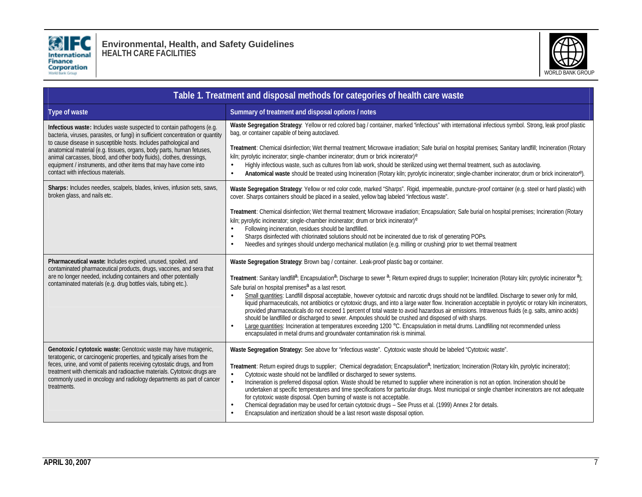

**Environmental, Health, and Safety Guidelines HEALTH CARE FACILITIES**



| Table 1. Treatment and disposal methods for categories of health care waste                                                                                                                                                                                                                                                                                                               |                                                                                                                                                                                                                                                                                                                                                                                                                                                                                                                                                                                                                                                                                                                                                                                                                                                                                                                                                                                                                                                                                                                                                                                                       |  |  |
|-------------------------------------------------------------------------------------------------------------------------------------------------------------------------------------------------------------------------------------------------------------------------------------------------------------------------------------------------------------------------------------------|-------------------------------------------------------------------------------------------------------------------------------------------------------------------------------------------------------------------------------------------------------------------------------------------------------------------------------------------------------------------------------------------------------------------------------------------------------------------------------------------------------------------------------------------------------------------------------------------------------------------------------------------------------------------------------------------------------------------------------------------------------------------------------------------------------------------------------------------------------------------------------------------------------------------------------------------------------------------------------------------------------------------------------------------------------------------------------------------------------------------------------------------------------------------------------------------------------|--|--|
| Type of waste                                                                                                                                                                                                                                                                                                                                                                             | Summary of treatment and disposal options / notes                                                                                                                                                                                                                                                                                                                                                                                                                                                                                                                                                                                                                                                                                                                                                                                                                                                                                                                                                                                                                                                                                                                                                     |  |  |
| Infectious waste: Includes waste suspected to contain pathogens (e.g.<br>bacteria, viruses, parasites, or fungi) in sufficient concentration or quantity                                                                                                                                                                                                                                  | Waste Segregation Strategy: Yellow or red colored bag / container, marked "infectious" with international infectious symbol. Strong, leak proof plastic<br>bag, or container capable of being autoclaved.                                                                                                                                                                                                                                                                                                                                                                                                                                                                                                                                                                                                                                                                                                                                                                                                                                                                                                                                                                                             |  |  |
| to cause disease in susceptible hosts. Includes pathological and<br>anatomical material (e.g. tissues, organs, body parts, human fetuses,<br>animal carcasses, blood, and other body fluids), clothes, dressings,<br>equipment / instruments, and other items that may have come into<br>contact with infectious materials.                                                               | Treatment: Chemical disinfection; Wet thermal treatment; Microwave irradiation; Safe burial on hospital premises; Sanitary landfill; Incineration (Rotary<br>kiln; pyrolytic incinerator; single-chamber incinerator; drum or brick incinerator) <sup>e</sup><br>Highly infectious waste, such as cultures from lab work, should be sterilized using wet thermal treatment, such as autoclaving.<br>$\bullet$<br>Anatomical waste should be treated using Incineration (Rotary kiln; pyrolytic incinerator; single-chamber incinerator; drum or brick incinerator <sup>e</sup> ).<br>$\bullet$                                                                                                                                                                                                                                                                                                                                                                                                                                                                                                                                                                                                        |  |  |
| Sharps: Includes needles, scalpels, blades, knives, infusion sets, saws,<br>broken glass, and nails etc.                                                                                                                                                                                                                                                                                  | Waste Segregation Strategy: Yellow or red color code, marked "Sharps". Rigid, impermeable, puncture-proof container (e.g. steel or hard plastic) with<br>cover. Sharps containers should be placed in a sealed, yellow bag labeled "infectious waste".                                                                                                                                                                                                                                                                                                                                                                                                                                                                                                                                                                                                                                                                                                                                                                                                                                                                                                                                                |  |  |
|                                                                                                                                                                                                                                                                                                                                                                                           | Treatment: Chemical disinfection; Wet thermal treatment; Microwave irradiation; Encapsulation; Safe burial on hospital premises; Incineration (Rotary<br>kiln; pyrolytic incinerator; single-chamber incinerator; drum or brick incinerator) <sup>e</sup><br>Following incineration, residues should be landfilled.<br>$\bullet$<br>Sharps disinfected with chlorinated solutions should not be incinerated due to risk of generating POPs.<br>$\bullet$<br>Needles and syringes should undergo mechanical mutilation (e.g. milling or crushing) prior to wet thermal treatment<br>$\bullet$                                                                                                                                                                                                                                                                                                                                                                                                                                                                                                                                                                                                          |  |  |
| Pharmaceutical waste: Includes expired, unused, spoiled, and<br>contaminated pharmaceutical products, drugs, vaccines, and sera that<br>are no longer needed, including containers and other potentially<br>contaminated materials (e.g. drug bottles vials, tubing etc.).                                                                                                                | Waste Segregation Strategy: Brown bag / container. Leak-proof plastic bag or container.<br>Treatment: Sanitary landfill <sup>a</sup> ; Encapsulation <sup>a</sup> ; Discharge to sewer <sup>a</sup> ; Return expired drugs to supplier; Incineration (Rotary kiln; pyrolytic incinerator <sup>a</sup> );<br>Safe burial on hospital premises <sup>a</sup> as a last resort.<br>Small quantities: Landfill disposal acceptable, however cytotoxic and narcotic drugs should not be landfilled. Discharge to sewer only for mild,<br>$\bullet$<br>liquid pharmaceuticals, not antibiotics or cytotoxic drugs, and into a large water flow. Incineration acceptable in pyrolytic or rotary kiln incinerators,<br>provided pharmaceuticals do not exceed 1 percent of total waste to avoid hazardous air emissions. Intravenous fluids (e.g. salts, amino acids)<br>should be landfilled or discharged to sewer. Ampoules should be crushed and disposed of with sharps.<br>Large quantities: Incineration at temperatures exceeding 1200 °C. Encapsulation in metal drums. Landfilling not recommended unless<br>$\bullet$<br>encapsulated in metal drums and groundwater contamination risk is minimal. |  |  |
| Genotoxic / cytotoxic waste: Genotoxic waste may have mutagenic,<br>teratogenic, or carcinogenic properties, and typically arises from the<br>feces, urine, and vomit of patients receiving cytostatic drugs, and from<br>treatment with chemicals and radioactive materials. Cytotoxic drugs are<br>commonly used in oncology and radiology departments as part of cancer<br>treatments. | Waste Segregation Strategy: See above for "infectious waste". Cytotoxic waste should be labeled "Cytotoxic waste".<br>Treatment: Return expired drugs to supplier; Chemical degradation; Encapsulation <sup>a</sup> ; Inertization; Incineration (Rotary kiln, pyrolytic incinerator);<br>Cytotoxic waste should not be landfilled or discharged to sewer systems.<br>$\bullet$<br>Incineration is preferred disposal option. Waste should be returned to supplier where incineration is not an option. Incineration should be<br>$\bullet$<br>undertaken at specific temperatures and time specifications for particular drugs. Most municipal or single chamber incinerators are not adequate<br>for cytotoxic waste disposal. Open burning of waste is not acceptable.<br>Chemical degradation may be used for certain cytotoxic drugs - See Pruss et al. (1999) Annex 2 for details.<br>$\bullet$<br>Encapsulation and inertization should be a last resort waste disposal option.<br>$\bullet$                                                                                                                                                                                                   |  |  |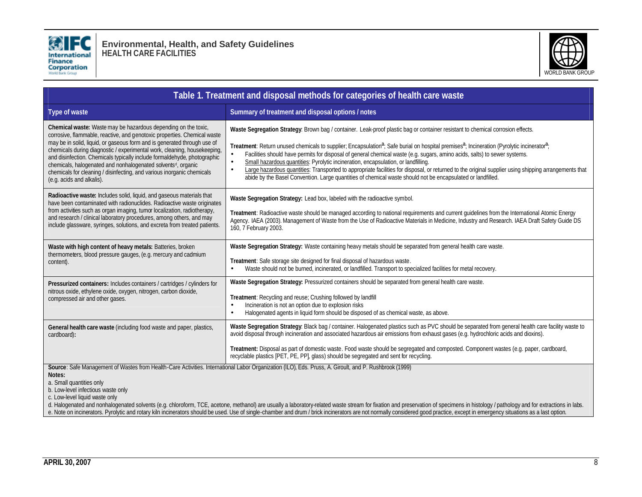

**Environmental, Health, and Safety Guidelines HEALTH CARE FACILITIES**



| Table 1. Treatment and disposal methods for categories of health care waste                                                                                                                                                                                                                                                                                                                                                                                                                                                                                        |                                                                                                                                                                                                                                                                                                                                                                                                                                                                                                                                                                                                                                                                                                                                                                                                                                         |  |
|--------------------------------------------------------------------------------------------------------------------------------------------------------------------------------------------------------------------------------------------------------------------------------------------------------------------------------------------------------------------------------------------------------------------------------------------------------------------------------------------------------------------------------------------------------------------|-----------------------------------------------------------------------------------------------------------------------------------------------------------------------------------------------------------------------------------------------------------------------------------------------------------------------------------------------------------------------------------------------------------------------------------------------------------------------------------------------------------------------------------------------------------------------------------------------------------------------------------------------------------------------------------------------------------------------------------------------------------------------------------------------------------------------------------------|--|
| Type of waste                                                                                                                                                                                                                                                                                                                                                                                                                                                                                                                                                      | Summary of treatment and disposal options / notes                                                                                                                                                                                                                                                                                                                                                                                                                                                                                                                                                                                                                                                                                                                                                                                       |  |
| Chemical waste: Waste may be hazardous depending on the toxic,<br>corrosive, flammable, reactive, and genotoxic properties. Chemical waste<br>may be in solid, liquid, or gaseous form and is generated through use of<br>chemicals during diagnostic / experimental work, cleaning, housekeeping,<br>and disinfection. Chemicals typically include formaldehyde, photographic<br>chemicals, halogenated and nonhalogenated solvents <sup>d</sup> , organic<br>chemicals for cleaning / disinfecting, and various inorganic chemicals<br>(e.g. acids and alkalis). | Waste Segregation Strategy: Brown bag / container. Leak-proof plastic bag or container resistant to chemical corrosion effects.<br>Treatment: Return unused chemicals to supplier; Encapsulation <sup>a</sup> ; Safe burial on hospital premises <sup>a</sup> ; Incineration (Pyrolytic incinerator <sup>a</sup> ;<br>Facilities should have permits for disposal of general chemical waste (e.g. sugars, amino acids, salts) to sewer systems.<br>Small hazardous quantities: Pyrolytic incineration, encapsulation, or landfilling.<br>$\bullet$<br>Large hazardous quantities: Transported to appropriate facilities for disposal, or returned to the original supplier using shipping arrangements that<br>$\bullet$<br>abide by the Basel Convention. Large quantities of chemical waste should not be encapsulated or landfilled. |  |
| Radioactive waste: Includes solid, liquid, and gaseous materials that<br>have been contaminated with radionuclides. Radioactive waste originates<br>from activities such as organ imaging, tumor localization, radiotherapy,<br>and research / clinical laboratory procedures, among others, and may<br>include glassware, syringes, solutions, and excreta from treated patients                                                                                                                                                                                  | Waste Segregation Strategy: Lead box, labeled with the radioactive symbol.<br>Treatment: Radioactive waste should be managed according to national requirements and current guidelines from the International Atomic Energy<br>Agency. IAEA (2003). Management of Waste from the Use of Radioactive Materials in Medicine, Industry and Research. IAEA Draft Safety Guide DS<br>160, 7 February 2003.                                                                                                                                                                                                                                                                                                                                                                                                                                   |  |
| Waste with high content of heavy metals: Batteries, broken<br>thermometers, blood pressure gauges, (e.g. mercury and cadmium<br>content).                                                                                                                                                                                                                                                                                                                                                                                                                          | Waste Segregation Strategy: Waste containing heavy metals should be separated from general health care waste.<br>Treatment: Safe storage site designed for final disposal of hazardous waste.<br>Waste should not be burned, incinerated, or landfilled. Transport to specialized facilities for metal recovery.<br>$\bullet$                                                                                                                                                                                                                                                                                                                                                                                                                                                                                                           |  |
| Pressurized containers: Includes containers / cartridges / cylinders for<br>nitrous oxide, ethylene oxide, oxygen, nitrogen, carbon dioxide,<br>compressed air and other gases.                                                                                                                                                                                                                                                                                                                                                                                    | Waste Segregation Strategy: Pressurized containers should be separated from general health care waste.<br>Treatment: Recycling and reuse; Crushing followed by landfill<br>Incineration is not an option due to explosion risks<br>$\bullet$<br>Halogenated agents in liquid form should be disposed of as chemical waste, as above.<br>$\bullet$                                                                                                                                                                                                                                                                                                                                                                                                                                                                                       |  |
| General health care waste (including food waste and paper, plastics,<br>cardboard):                                                                                                                                                                                                                                                                                                                                                                                                                                                                                | Waste Segregation Strategy: Black bag / container. Halogenated plastics such as PVC should be separated from general health care facility waste to<br>avoid disposal through incineration and associated hazardous air emissions from exhaust gases (e.g. hydrochloric acids and dioxins).<br>Treatment: Disposal as part of domestic waste. Food waste should be segregated and composted. Component wastes (e.g. paper, cardboard,<br>recyclable plastics [PET, PE, PP], glass) should be segregated and sent for recycling.                                                                                                                                                                                                                                                                                                          |  |
| Notes:<br>a. Small quantities only<br>b. Low-level infectious waste only<br>c. Low-level liquid waste only                                                                                                                                                                                                                                                                                                                                                                                                                                                         | Source: Safe Management of Wastes from Health-Care Activities. International Labor Organization (ILO), Eds. Pruss, A. Giroult, and P. Rushbrook (1999)<br>d. Halogenated and nonhalogenated solvents (e.g. chloroform, TCE, acetone, methanol) are usually a laboratory-related waste stream for fixation and preservation of specimens in histology / pathology and for extractions in<br>e. Note on incinerators. Pyrolytic and rotary kiln incinerators should be used. Use of single-chamber and drum / brick incinerators are not normally considered good practice, except in emergency situations as a last option                                                                                                                                                                                                               |  |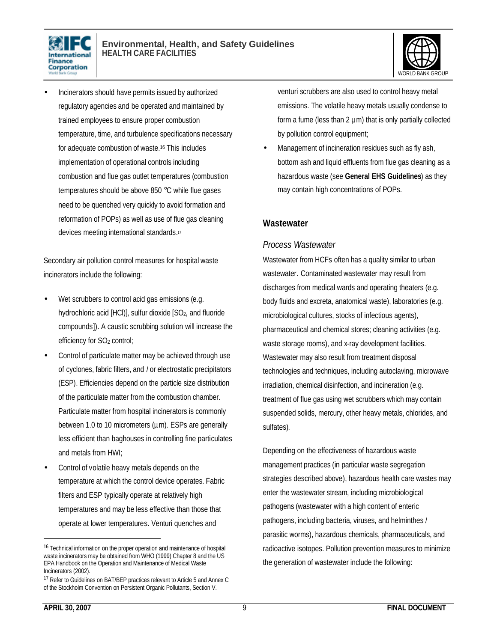



• Incinerators should have permits issued by authorized regulatory agencies and be operated and maintained by trained employees to ensure proper combustion temperature, time, and turbulence specifications necessary for adequate combustion of waste.16 This includes implementation of operational controls including combustion and flue gas outlet temperatures (combustion temperatures should be above 850 °C while flue gases need to be quenched very quickly to avoid formation and reformation of POPs) as well as use of flue gas cleaning devices meeting international standards. 17

Secondary air pollution control measures for hospital waste incinerators include the following:

- Wet scrubbers to control acid gas emissions (e.g. hydrochloric acid [HCl)], sulfur dioxide [SO<sub>2</sub>, and fluoride compounds]). A caustic scrubbing solution will increase the efficiency for SO<sub>2</sub> control;
- Control of particulate matter may be achieved through use of cyclones, fabric filters, and / or electrostatic precipitators (ESP). Efficiencies depend on the particle size distribution of the particulate matter from the combustion chamber. Particulate matter from hospital incinerators is commonly between 1.0 to 10 micrometers ( $\mu$ m). ESPs are generally less efficient than baghouses in controlling fine particulates and metals from HWI;
- Control of volatile heavy metals depends on the temperature at which the control device operates. Fabric filters and ESP typically operate at relatively high temperatures and may be less effective than those that operate at lower temperatures. Venturi quenches and

venturi scrubbers are also used to control heavy metal emissions. The volatile heavy metals usually condense to form a fume (less than  $2 \mu m$ ) that is only partially collected by pollution control equipment;

Management of incineration residues such as fly ash, bottom ash and liquid effluents from flue gas cleaning as a hazardous waste (see **General EHS Guidelines**) as they may contain high concentrations of POPs.

#### **Wastewater**

#### *Process Wastewater*

Wastewater from HCFs often has a quality similar to urban wastewater. Contaminated wastewater may result from discharges from medical wards and operating theaters (e.g. body fluids and excreta, anatomical waste), laboratories (e.g. microbiological cultures, stocks of infectious agents), pharmaceutical and chemical stores; cleaning activities (e.g. waste storage rooms), and x-ray development facilities. Wastewater may also result from treatment disposal technologies and techniques, including autoclaving, microwave irradiation, chemical disinfection, and incineration (e.g. treatment of flue gas using wet scrubbers which may contain suspended solids, mercury, other heavy metals, chlorides, and sulfates).

Depending on the effectiveness of hazardous waste management practices (in particular waste segregation strategies described above), hazardous health care wastes may enter the wastewater stream, including microbiological pathogens (wastewater with a high content of enteric pathogens, including bacteria, viruses, and helminthes / parasitic worms), hazardous chemicals, pharmaceuticals, and radioactive isotopes. Pollution prevention measures to minimize the generation of wastewater include the following:

<sup>&</sup>lt;sup>16</sup> Technical information on the proper operation and maintenance of hospital waste incinerators may be obtained from WHO (1999) Chapter 8 and the US EPA Handbook on the Operation and Maintenance of Medical Waste Incinerators (2002).

<sup>17</sup> Refer to Guidelines on BAT/BEP practices relevant to Article 5 and Annex C of the Stockholm Convention on Persistent Organic Pollutants, Section V.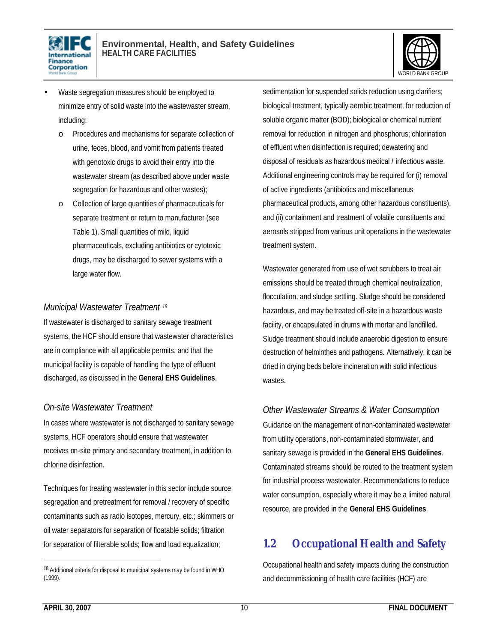



- Waste segregation measures should be employed to minimize entry of solid waste into the wastewaster stream, including:
	- o Procedures and mechanisms for separate collection of urine, feces, blood, and vomit from patients treated with genotoxic drugs to avoid their entry into the wastewater stream (as described above under waste segregation for hazardous and other wastes);
	- o Collection of large quantities of pharmaceuticals for separate treatment or return to manufacturer (see Table 1). Small quantities of mild, liquid pharmaceuticals, excluding antibiotics or cytotoxic drugs, may be discharged to sewer systems with a large water flow.

#### *Municipal Wastewater Treatment <sup>18</sup>*

If wastewater is discharged to sanitary sewage treatment systems, the HCF should ensure that wastewater characteristics are in compliance with all applicable permits, and that the municipal facility is capable of handling the type of effluent discharged, as discussed in the **General EHS Guidelines**.

#### *On-site Wastewater Treatment*

In cases where wastewater is not discharged to sanitary sewage systems, HCF operators should ensure that wastewater receives on-site primary and secondary treatment, in addition to chlorine disinfection.

Techniques for treating wastewater in this sector include source segregation and pretreatment for removal / recovery of specific contaminants such as radio isotopes, mercury, etc.; skimmers or oil water separators for separation of floatable solids; filtration for separation of filterable solids; flow and load equalization;

sedimentation for suspended solids reduction using clarifiers; biological treatment, typically aerobic treatment, for reduction of soluble organic matter (BOD); biological or chemical nutrient removal for reduction in nitrogen and phosphorus; chlorination of effluent when disinfection is required; dewatering and disposal of residuals as hazardous medical / infectious waste. Additional engineering controls may be required for (i) removal of active ingredients (antibiotics and miscellaneous pharmaceutical products, among other hazardous constituents), and (ii) containment and treatment of volatile constituents and aerosols stripped from various unit operations in the wastewater treatment system.

Wastewater generated from use of wet scrubbers to treat air emissions should be treated through chemical neutralization, flocculation, and sludge settling. Sludge should be considered hazardous, and may be treated off-site in a hazardous waste facility, or encapsulated in drums with mortar and landfilled. Sludge treatment should include anaerobic digestion to ensure destruction of helminthes and pathogens. Alternatively, it can be dried in drying beds before incineration with solid infectious wastes.

#### *Other Wastewater Streams & Water Consumption*

Guidance on the management of non-contaminated wastewater from utility operations, non-contaminated stormwater, and sanitary sewage is provided in the **General EHS Guidelines**. Contaminated streams should be routed to the treatment system for industrial process wastewater. Recommendations to reduce water consumption, especially where it may be a limited natural resource, are provided in the **General EHS Guidelines**.

## **1.2 Occupational Health and Safety**

Occupational health and safety impacts during the construction and decommissioning of health care facilities (HCF) are

<sup>18</sup> Additional criteria for disposal to municipal systems may be found in WHO (1999).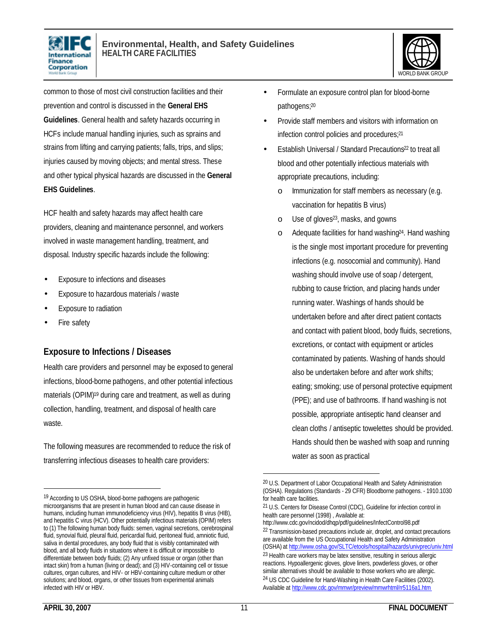



common to those of most civil construction facilities and their prevention and control is discussed in the **General EHS Guidelines**. General health and safety hazards occurring in HCFs include manual handling injuries, such as sprains and strains from lifting and carrying patients; falls, trips, and slips; injuries caused by moving objects; and mental stress. These and other typical physical hazards are discussed in the **General EHS Guidelines**.

HCF health and safety hazards may affect health care providers, cleaning and maintenance personnel, and workers involved in waste management handling, treatment, and disposal. Industry specific hazards include the following:

- Exposure to infections and diseases
- Exposure to hazardous materials / waste
- Exposure to radiation
- Fire safety

#### **Exposure to Infections / Diseases**

Health care providers and personnel may be exposed to general infections, blood-borne pathogens, and other potential infectious materials (OPIM)19 during care and treatment, as well as during collection, handling, treatment, and disposal of health care waste.

The following measures are recommended to reduce the risk of transferring infectious diseases to health care providers:

- Formulate an exposure control plan for blood-borne pathogens; 20
- Provide staff members and visitors with information on infection control policies and procedures; 21
- Establish Universal / Standard Precautions<sup>22</sup> to treat all blood and other potentially infectious materials with appropriate precautions, including:
	- o Immunization for staff members as necessary (e.g. vaccination for hepatitis B virus)
	- o Use of gloves23, masks, and gowns
	- o Adequate facilities for hand washing<sup>24</sup>. Hand washing is the single most important procedure for preventing infections (e.g. nosocomial and community). Hand washing should involve use of soap / detergent, rubbing to cause friction, and placing hands under running water. Washings of hands should be undertaken before and after direct patient contacts and contact with patient blood, body fluids, secretions, excretions, or contact with equipment or articles contaminated by patients. Washing of hands should also be undertaken before and after work shifts; eating; smoking; use of personal protective equipment (PPE); and use of bathrooms. If hand washing is not possible, appropriate antiseptic hand cleanser and clean cloths / antiseptic towelettes should be provided. Hands should then be washed with soap and running water as soon as practical

 $\overline{a}$ 

1

<sup>19</sup> According to US OSHA, blood-borne pathogens are pathogenic microorganisms that are present in human blood and can cause disease in humans, including human immunodeficiency virus (HIV), hepatitis B virus (HIB), and hepatitis C virus (HCV). Other potentially infectious materials (OPIM) refers to (1) The following human body fluids: semen, vaginal secretions, cerebrospinal fluid, synovial fluid, pleural fluid, pericardial fluid, peritoneal fluid, amniotic fluid, saliva in dental procedures, any body fluid that is visibly contaminated with blood, and all body fluids in situations where it is difficult or impossible to differentiate between body fluids; (2) Any unfixed tissue or organ (other than intact skin) from a human (living or dead); and (3) HIV-containing cell or tissue cultures, organ cultures, and HIV- or HBV-containing culture medium or other solutions; and blood, organs, or other tissues from experimental animals infected with HIV or HBV.

<sup>20</sup> U.S. Department of Labor Occupational Health and Safety Administration (OSHA). Regulations (Standards - 29 CFR) Bloodborne pathogens. - 1910.1030 for health care facilities.

<sup>21</sup> U.S. Centers for Disease Control (CDC), Guideline for infection control in health care personnel (1998) , Available at:

http://www.cdc.gov/ncidod/dhqp/pdf/guidelines/InfectControl98.pdf 22 Transmission-based precautions include air, droplet, and contact precautions are available from the US Occupational Health and Safety Administration (OSHA) at http://www.osha.gov/SLTC/etools/hospital/hazards/univprec/univ.html <sup>23</sup> Health care workers may be latex sensitive, resulting in serious allergic reactions. Hypoallergenic gloves, glove liners, powderless gloves, or other similar alternatives should be available to those workers who are allergic. <sup>24</sup> US CDC Guideline for Hand-Washing in Health Care Facilities (2002). Available at http://www.cdc.gov/mmwr/preview/mmwrhtml/rr5116a1.htm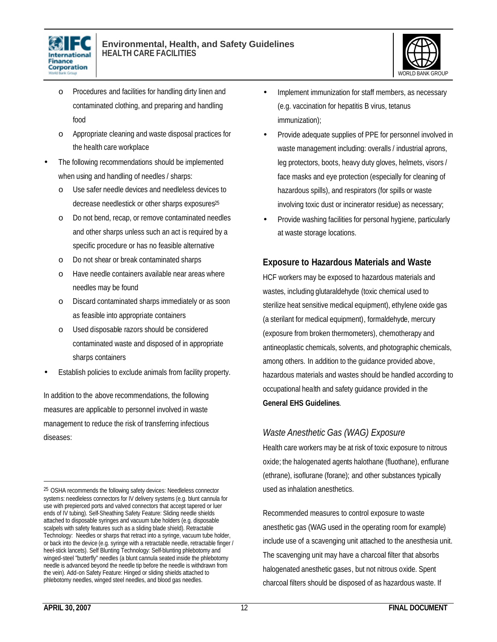



- o Procedures and facilities for handling dirty linen and contaminated clothing, and preparing and handling food
- o Appropriate cleaning and waste disposal practices for the health care workplace
- The following recommendations should be implemented when using and handling of needles / sharps:
	- Use safer needle devices and needleless devices to decrease needlestick or other sharps exposures<sup>25</sup>
	- o Do not bend, recap, or remove contaminated needles and other sharps unless such an act is required by a specific procedure or has no feasible alternative
	- o Do not shear or break contaminated sharps
	- o Have needle containers available near areas where needles may be found
	- o Discard contaminated sharps immediately or as soon as feasible into appropriate containers
	- o Used disposable razors should be considered contaminated waste and disposed of in appropriate sharps containers
- Establish policies to exclude animals from facility property.

In addition to the above recommendations, the following measures are applicable to personnel involved in waste management to reduce the risk of transferring infectious diseases:

- Implement immunization for staff members, as necessary (e.g. vaccination for hepatitis B virus, tetanus immunization);
- Provide adequate supplies of PPE for personnel involved in waste management including: overalls / industrial aprons, leg protectors, boots, heavy duty gloves, helmets, visors / face masks and eye protection (especially for cleaning of hazardous spills), and respirators (for spills or waste involving toxic dust or incinerator residue) as necessary;
- Provide washing facilities for personal hygiene, particularly at waste storage locations.

#### **Exposure to Hazardous Materials and Waste**

HCF workers may be exposed to hazardous materials and wastes, including glutaraldehyde (toxic chemical used to sterilize heat sensitive medical equipment), ethylene oxide gas (a sterilant for medical equipment), formaldehyde, mercury (exposure from broken thermometers), chemotherapy and antineoplastic chemicals, solvents, and photographic chemicals, among others. In addition to the guidance provided above, hazardous materials and wastes should be handled according to occupational health and safety guidance provided in the **General EHS Guidelines**.

#### *Waste Anesthetic Gas (WAG) Exposure*

Health care workers may be at risk of toxic exposure to nitrous oxide; the halogenated agents halothane (fluothane), enflurane (ethrane), isoflurane (forane); and other substances typically used as inhalation anesthetics.

Recommended measures to control exposure to waste anesthetic gas (WAG used in the operating room for example) include use of a scavenging unit attached to the anesthesia unit. The scavenging unit may have a charcoal filter that absorbs halogenated anesthetic gases, but not nitrous oxide. Spent charcoal filters should be disposed of as hazardous waste. If

<sup>&</sup>lt;sup>25</sup> OSHA recommends the following safety devices: Needleless connector systems: needleless connectors for IV delivery systems (e.g. blunt cannula for use with prepierced ports and valved connectors that accept tapered or luer ends of IV tubing). Self-Sheathing Safety Feature: Sliding needle shields attached to disposable syringes and vacuum tube holders (e.g. disposable scalpels with safety features such as a sliding blade shield). Retractable Technology: Needles or sharps that retract into a syringe, vacuum tube holder, or back into the device (e.g. syringe with a retractable needle, retractable finger / heel-stick lancets). Self Blunting Technology: Self-blunting phlebotomy and winged-steel "butterfly" needles (a blunt cannula seated inside the phlebotomy needle is advanced beyond the needle tip before the needle is withdrawn from the vein). Add-on Safety Feature: Hinged or sliding shields attached to phlebotomy needles, winged steel needles, and blood gas needles.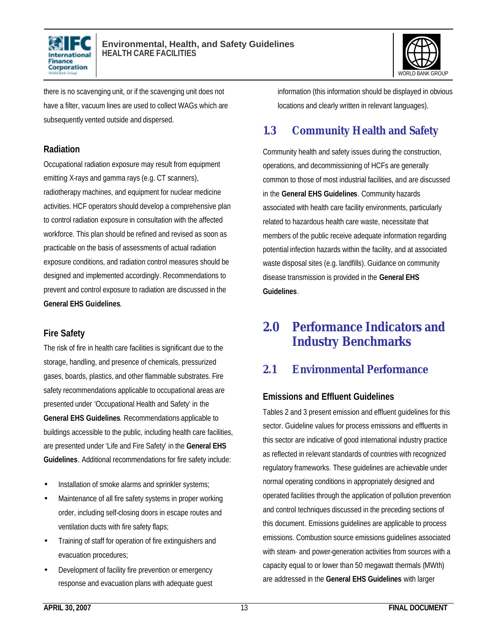



there is no scavenging unit, or if the scavenging unit does not have a filter, vacuum lines are used to collect WAGs which are subsequently vented outside and dispersed.

#### **Radiation**

Occupational radiation exposure may result from equipment emitting X-rays and gamma rays (e.g. CT scanners), radiotherapy machines, and equipment for nuclear medicine activities. HCF operators should develop a comprehensive plan to control radiation exposure in consultation with the affected workforce. This plan should be refined and revised as soon as practicable on the basis of assessments of actual radiation exposure conditions, and radiation control measures should be designed and implemented accordingly. Recommendations to prevent and control exposure to radiation are discussed in the **General EHS Guidelines**.

#### **Fire Safety**

The risk of fire in health care facilities is significant due to the storage, handling, and presence of chemicals, pressurized gases, boards, plastics, and other flammable substrates. Fire safety recommendations applicable to occupational areas are presented under 'Occupational Health and Safety' in the **General EHS Guidelines**. Recommendations applicable to buildings accessible to the public, including health care facilities, are presented under 'Life and Fire Safety' in the **General EHS Guidelines**. Additional recommendations for fire safety include:

- Installation of smoke alarms and sprinkler systems;
- Maintenance of all fire safety systems in proper working order, including self-closing doors in escape routes and ventilation ducts with fire safety flaps;
- Training of staff for operation of fire extinguishers and evacuation procedures;
- Development of facility fire prevention or emergency response and evacuation plans with adequate guest

information (this information should be displayed in obvious locations and clearly written in relevant languages).

## **1.3 Community Health and Safety**

Community health and safety issues during the construction, operations, and decommissioning of HCFs are generally common to those of most industrial facilities, and are discussed in the **General EHS Guidelines**. Community hazards associated with health care facility environments, particularly related to hazardous health care waste, necessitate that members of the public receive adequate information regarding potential infection hazards within the facility, and at associated waste disposal sites (e.g. landfills). Guidance on community disease transmission is provided in the **General EHS Guidelines**.

## **2.0 Performance Indicators and Industry Benchmarks**

## **2.1 Environmental Performance**

### **Emissions and Effluent Guidelines**

Tables 2 and 3 present emission and effluent guidelines for this sector. Guideline values for process emissions and effluents in this sector are indicative of good international industry practice as reflected in relevant standards of countries with recognized regulatory frameworks. These guidelines are achievable under normal operating conditions in appropriately designed and operated facilities through the application of pollution prevention and control techniques discussed in the preceding sections of this document. Emissions guidelines are applicable to process emissions. Combustion source emissions guidelines associated with steam- and power-generation activities from sources with a capacity equal to or lower than 50 megawatt thermals (MWth) are addressed in the **General EHS Guidelines** with larger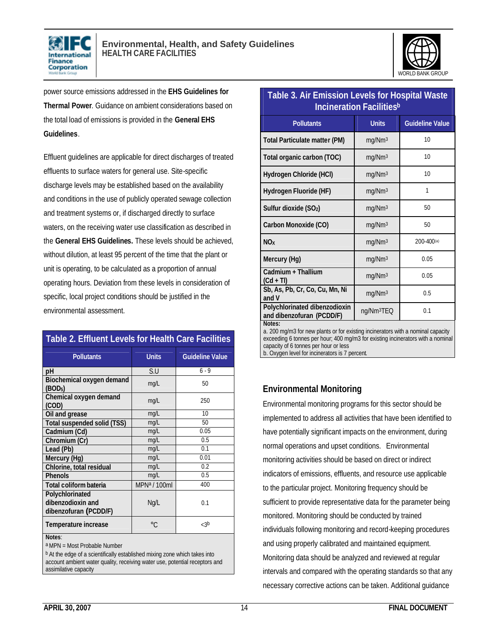



power source emissions addressed in the **EHS Guidelines for Thermal Power**. Guidance on ambient considerations based on the total load of emissions is provided in the **General EHS Guidelines**.

Effluent guidelines are applicable for direct discharges of treated effluents to surface waters for general use. Site-specific discharge levels may be established based on the availability and conditions in the use of publicly operated sewage collection and treatment systems or, if discharged directly to surface waters, on the receiving water use classification as described in the **General EHS Guidelines.** These levels should be achieved, without dilution, at least 95 percent of the time that the plant or unit is operating, to be calculated as a proportion of annual operating hours. Deviation from these levels in consideration of specific, local project conditions should be justified in the environmental assessment.

| <b>Table 2. Effluent Levels for Health Care Facilities</b>    |                          |                        |  |  |
|---------------------------------------------------------------|--------------------------|------------------------|--|--|
| <b>Pollutants</b>                                             | <b>Units</b>             | <b>Guideline Value</b> |  |  |
| pH                                                            | S.U                      | $6 - 9$                |  |  |
| Biochemical oxygen demand<br>(BOD <sub>5</sub> )              | mg/L                     | 50                     |  |  |
| Chemical oxygen demand<br>(COD)                               | mg/L                     | 250                    |  |  |
| Oil and grease                                                | mg/L                     | 10                     |  |  |
| Total suspended solid (TSS)                                   | mg/L                     | 50                     |  |  |
| Cadmium (Cd)                                                  | mg/L                     | 0.05                   |  |  |
| Chromium (Cr)                                                 | mg/L                     | 0.5                    |  |  |
| Lead (Pb)                                                     | mg/L                     | 0.1                    |  |  |
| Mercury (Hg)                                                  | mg/L                     | 0.01                   |  |  |
| Chlorine, total residual                                      | mg/L                     | 0.2                    |  |  |
| <b>Phenols</b>                                                | mg/L                     | 0.5                    |  |  |
| Total coliform bateria                                        | MPN <sup>a</sup> / 100ml | 400                    |  |  |
| Polychlorinated<br>dibenzodioxin and<br>dibenzofuran (PCDD/F) | Ng/L                     | 0.1                    |  |  |
| Temperature increase                                          | $\circ$ C                | < 3b                   |  |  |
| Notes:                                                        |                          |                        |  |  |

a MPN = Most Probable Number

b At the edge of a scientifically established mixing zone which takes into account ambient water quality, receiving water use, potential receptors and assimilative capacity

| <b>Incineration Facilitiesb</b>                            |                        |                        |  |  |
|------------------------------------------------------------|------------------------|------------------------|--|--|
| <b>Pollutants</b>                                          | <b>Units</b>           | <b>Guideline Value</b> |  |  |
| <b>Total Particulate matter (PM)</b>                       | mg/Nm <sup>3</sup>     | 10                     |  |  |
| Total organic carbon (TOC)                                 | mg/Nm <sup>3</sup>     | 10                     |  |  |
| Hydrogen Chloride (HCI)                                    | mg/Nm <sup>3</sup>     | 10                     |  |  |
| Hydrogen Fluoride (HF)                                     | mg/Nm <sup>3</sup>     | 1                      |  |  |
| Sulfur dioxide (SO2)                                       | mg/Nm <sup>3</sup>     | 50                     |  |  |
| Carbon Monoxide (CO)                                       | mg/Nm <sup>3</sup>     | 50                     |  |  |
| <b>NO<sub>x</sub></b>                                      | mg/Nm <sup>3</sup>     | $200 - 400^{(a)}$      |  |  |
| Mercury (Hg)                                               | mg/Nm <sup>3</sup>     | 0.05                   |  |  |
| Cadmium + Thallium<br>$(Cd + TI)$                          | mg/Nm <sup>3</sup>     | 0.05                   |  |  |
| Sb, As, Pb, Cr, Co, Cu, Mn, Ni<br>and V                    | mg/Nm <sup>3</sup>     | 0.5                    |  |  |
| Polychlorinated dibenzodioxin<br>and dibenzofuran (PCDD/F) | ng/Nm <sup>3</sup> TEQ | 0.1                    |  |  |
| Notes:                                                     |                        |                        |  |  |

**Table 3. Air Emission Levels for Hospital Waste** 

a. 200 mg/m3 for new plants or for existing incinerators with a nominal capacity exceeding 6 tonnes per hour; 400 mg/m3 for existing incinerators with a nominal capacity of 6 tonnes per hour or less b. Oxygen level for incinerators is 7 percent.

#### **Environmental Monitoring**

Environmental monitoring programs for this sector should be implemented to address all activities that have been identified to have potentially significant impacts on the environment, during normal operations and upset conditions. Environmental monitoring activities should be based on direct or indirect indicators of emissions, effluents, and resource use applicable to the particular project. Monitoring frequency should be sufficient to provide representative data for the parameter being monitored. Monitoring should be conducted by trained individuals following monitoring and record-keeping procedures and using properly calibrated and maintained equipment. Monitoring data should be analyzed and reviewed at regular intervals and compared with the operating standards so that any necessary corrective actions can be taken. Additional guidance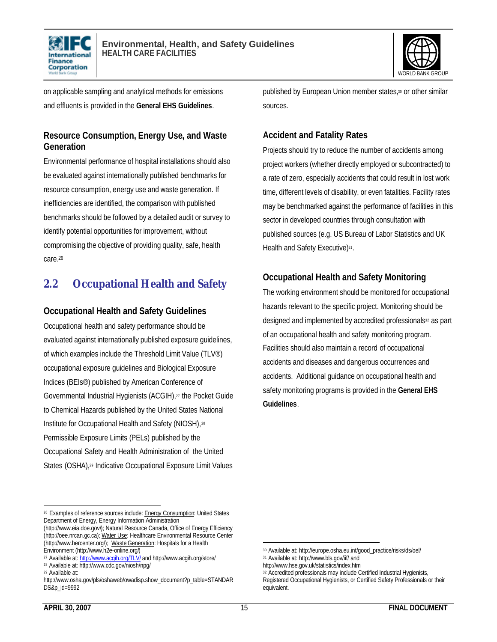



on applicable sampling and analytical methods for emissions and effluents is provided in the **General EHS Guidelines**.

#### **Resource Consumption, Energy Use, and Waste Generation**

Environmental performance of hospital installations should also be evaluated against internationally published benchmarks for resource consumption, energy use and waste generation. If inefficiencies are identified, the comparison with published benchmarks should be followed by a detailed audit or survey to identify potential opportunities for improvement, without compromising the objective of providing quality, safe, health care.<sup>26</sup>

## **2.2 Occupational Health and Safety**

#### **Occupational Health and Safety Guidelines**

Occupational health and safety performance should be evaluated against internationally published exposure guidelines, of which examples include the Threshold Limit Value (TLV®) occupational exposure guidelines and Biological Exposure Indices (BEIs®) published by American Conference of Governmental Industrial Hygienists (ACGIH),27 the Pocket Guide to Chemical Hazards published by the United States National Institute for Occupational Health and Safety (NIOSH),<sup>28</sup> Permissible Exposure Limits (PELs) published by the Occupational Safety and Health Administration of the United States (OSHA),<sup>29</sup> Indicative Occupational Exposure Limit Values

 $\overline{a}$ <sup>26</sup> Examples of reference sources include: **Energy Consumption**: United States Department of Energy, Energy Information Administration

(http://www.eia.doe.gov/); Natural Resource Canada, Office of Energy Efficiency (http://oee.nrcan.gc.ca); Water Use: Healthcare Environmental Resource Center (http://www.hercenter.org/); Waste Generation: Hospitals for a Health Environment (http://www.h2e-online.org/)

published by European Union member states,<sup>30</sup> or other similar sources.

#### **Accident and Fatality Rates**

Projects should try to reduce the number of accidents among project workers (whether directly employed or subcontracted) to a rate of zero, especially accidents that could result in lost work time, different levels of disability, or even fatalities. Facility rates may be benchmarked against the performance of facilities in this sector in developed countries through consultation with published sources (e.g. US Bureau of Labor Statistics and UK Health and Safety Executive)<sup>31</sup>.

#### **Occupational Health and Safety Monitoring**

The working environment should be monitored for occupational hazards relevant to the specific project. Monitoring should be designed and implemented by accredited professionals<sup>32</sup> as part of an occupational health and safety monitoring program. Facilities should also maintain a record of occupational accidents and diseases and dangerous occurrences and accidents. Additional guidance on occupational health and safety monitoring programs is provided in the **General EHS Guidelines**.

1

<sup>&</sup>lt;sup>27</sup> Available at: http://www.acgih.org/TLV/ and http://www.acgih.org/store/

<sup>28</sup> Available at: http://www.cdc.gov/niosh/npg/

<sup>29</sup> Available at:

http://www.osha.gov/pls/oshaweb/owadisp.show\_document?p\_table=STANDAR DS&p\_id=9992

<sup>30</sup> Available at: http://europe.osha.eu.int/good\_practice/risks/ds/oel/

<sup>31</sup> Available at: http://www.bls.gov/iif/ and

http://www.hse.gov.uk/statistics/index.htm

<sup>32</sup> Accredited professionals may include Certified Industrial Hygienists, Registered Occupational Hygienists, or Certified Safety Professionals or their equivalent.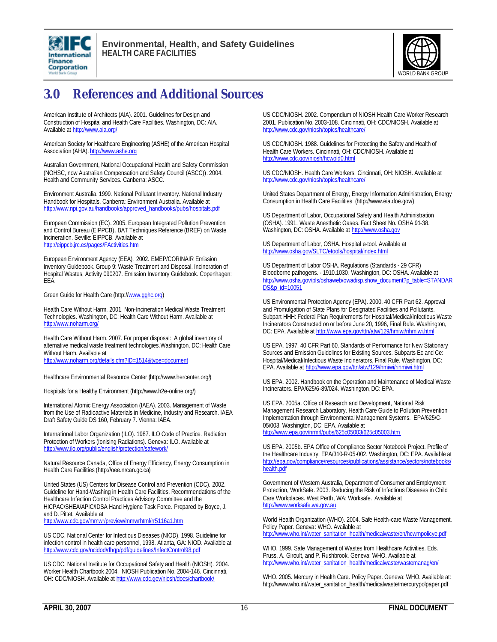



## **3.0 References and Additional Sources**

American Institute of Architects (AIA). 2001. Guidelines for Design and Construction of Hospital and Health Care Facilities. Washington, DC: AIA. Available at http://www.aia.org/

American Society for Healthcare Engineering (ASHE) of the American Hospital Association (AHA). http://www.ashe.org

Australian Government, National Occupational Health and Safety Commission (NOHSC, now Australian Compensation and Safety Council (ASCC)). 2004. Health and Community Services. Canberra: ASCC.

Environment Australia. 1999. National Pollutant Inventory. National Industry Handbook for Hospitals. Canberra: Environment Australia. Available at http://www.npi.gov.au/handbooks/approved\_handbooks/pubs/hospitals.pdf

European Commission (EC). 2005. European Integrated Pollution Prevention and Control Bureau (EIPPCB). BAT Techniques Reference (BREF) on Waste Incineration. Seville: EIPPCB. Available at http://eippcb.jrc.es/pages/FActivities.htm

European Environment Agency (EEA). 2002. EMEP/CORINAIR Emission Inventory Guidebook. Group 9: Waste Treatment and Disposal. Incineration of Hospital Wastes, Activity 090207. Emission Inventory Guidebook. Copenhagen: EEA.

Green Guide for Health Care (http://www.gghc.org)

Health Care Without Harm. 2001. Non-Incineration Medical Waste Treatment Technologies. Washington, DC: Health Care Without Harm. Available at http://www.noharm.org/

Health Care Without Harm. 2007. For proper disposal: A global inventory of alternative medical waste treatment technologies.Washington, DC: Health Care Without Harm. Available at http://www.noharm.org/details.cfm?ID=1514&type=document

Healthcare Environmental Resource Center (http://www.hercenter.org/)

Hospitals for a Healthy Environment (http://www.h2e-online.org/)

International Atomic Energy Association (IAEA). 2003. Management of Waste from the Use of Radioactive Materials in Medicine, Industry and Research. IAEA Draft Safety Guide DS 160, February 7. Vienna: IAEA.

International Labor Organization (ILO). 1987. ILO Code of Practice. Radiation Protection of Workers (Ionising Radiations). Geneva: ILO. Available at http://www.ilo.org/public/english/protection/safework/

Natural Resource Canada, Office of Energy Efficiency, Energy Consumption in Health Care Facilities (http://oee.nrcan.gc.ca)

United States (US) Centers for Disease Control and Prevention (CDC). 2002. Guideline for Hand-Washing in Health Care Facilities. Recommendations of the Healthcare Infection Control Practices Advisory Committee and the HICPAC/SHEA/APIC/IDSA Hand Hygiene Task Force. Prepared by Boyce, J. and D. Pittet. Available at

http://www.cdc.gov/mmwr/preview/mmwrhtml/rr5116a1.htm

US CDC, National Center for Infectious Diseases (NIOD). 1998. Guideline for infection control in health care personnel, 1998. Atlanta, GA: NIOD. Available at http://www.cdc.gov/ncidod/dhqp/pdf/guidelines/InfectControl98.pdf

US CDC. National Institute for Occupational Safety and Health (NIOSH). 2004. Worker Health Chartbook 2004. NIOSH Publication No. 2004-146. Cincinnati, OH: CDC/NIOSH. Available at http://www.cdc.gov/niosh/docs/chartbook/

US CDC/NIOSH. 2002. Compendium of NIOSH Health Care Worker Research 2001. Publication No. 2003-108. Cincinnati, OH: CDC/NIOSH. Available at http://www.cdc.gov/niosh/topics/healthcare/

US CDC/NIOSH. 1988. Guidelines for Protecting the Safety and Health of Health Care Workers. Cincinnati, OH: CDC/NIOSH. Available at http://www.cdc.gov/niosh/hcwold0.html

US CDC/NIOSH. Health Care Workers. Cincinnati, OH: NIOSH. Available at http://www.cdc.gov/niosh/topics/healthcare/

United States Department of Energy, Energy Information Administration, Energy Consumption in Health Care Facilities (http://www.eia.doe.gov/)

US Department of Labor, Occupational Safety and Health Administration (OSHA). 1991. Waste Anesthetic Gases. Fact Sheet No. OSHA 91-38. Washington, DC: OSHA. Available at http://www.osha.gov

US Department of Labor, OSHA. Hospital e-tool. Available at http://www.osha.gov/SLTC/etools/hospital/index.html

US Department of Labor OSHA. Regulations (Standards - 29 CFR) Bloodborne pathogens. - 1910.1030. Washington, DC: OSHA. Available at http://www.osha.gov/pls/oshaweb/owadisp.show\_document?p\_table=STANDAR DS&p\_id=10051

US Environmental Protection Agency (EPA). 2000. 40 CFR Part 62. Approval and Promulgation of State Plans for Designated Facilities and Pollutants. Subpart HHH: Federal Plan Requirements for Hospital/Medical/Infectious Waste Incinerators Constructed on or before June 20, 1996, Final Rule. Washington, DC: EPA. Available at http://www.epa.gov/ttn/atw/129/hmiwi/rihmiwi.html

US EPA. 1997. 40 CFR Part 60. Standards of Performance for New Stationary Sources and Emission Guidelines for Existing Sources. Subparts Ec and Ce: Hospital/Medical/Infectious Waste Incinerators, Final Rule. Washington, DC: EPA. Available at http://www.epa.gov/ttn/atw/129/hmiwi/rihmiwi.html

US EPA. 2002. Handbook on the Operation and Maintenance of Medical Waste Incinerators. EPA/625/6-89/024. Washington, DC: EPA.

US EPA. 2005a. Office of Research and Development, National Risk Management Research Laboratory. Health Care Guide to Pollution Prevention Implementation through Environmental Management Systems. EPA/625/C-05/003. Washington, DC: EPA. Available at http://www.epa.gov/nrmrl/pubs/625c05003/625c05003.htm

US EPA. 2005b. EPA Office of Compliance Sector Notebook Project. Profile of the Healthcare Industry. EPA/310-R-05-002. Washington, DC: EPA. Available at http://epa.gov/compliance/resources/publications/assistance/sectors/notebooks/ health.pdf

Government of Western Australia, Department of Consumer and Employment Protection, WorkSafe. 2003. Reducing the Risk of Infectious Diseases in Child Care Workplaces. West Perth, WA: Worksafe. Available at http://www.worksafe.wa.gov.au

World Health Organization (WHO). 2004. Safe Health-care Waste Management. Policy Paper. Geneva: WHO. Available at http://www.who.int/water\_sanitation\_health/medicalwaste/en/hcwmpolicye.pdf

WHO. 1999. Safe Management of Wastes from Healthcare Activities. Eds. Pruss, A. Giroult, and P. Rushbrook. Geneva: WHO. Available at http://www.who.int/water\_sanitation\_health/medicalwaste/wastemanag/en/

WHO. 2005. Mercury in Health Care. Policy Paper. Geneva: WHO. Available at: http://www.who.int/water\_sanitation\_health/medicalwaste/mercurypolpaper.pdf